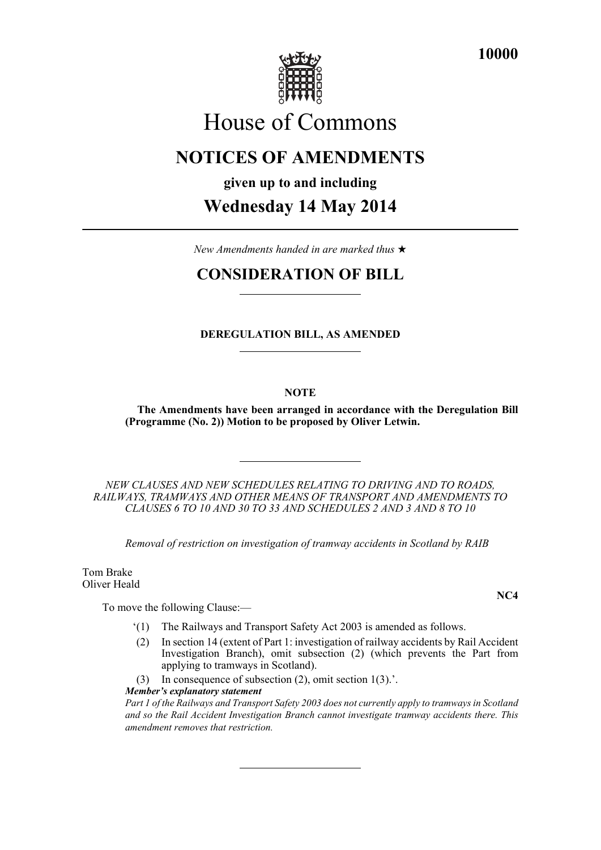

**10000**

# House of Commons

## **NOTICES OF AMENDMENTS**

**given up to and including**

## **Wednesday 14 May 2014**

*New Amendments handed in are marked thus* 

## **CONSIDERATION OF BILL**

## **DEREGULATION BILL, AS AMENDED**

## **NOTE**

**The Amendments have been arranged in accordance with the Deregulation Bill (Programme (No. 2)) Motion to be proposed by Oliver Letwin.**

*NEW CLAUSES AND NEW SCHEDULES RELATING TO DRIVING AND TO ROADS, RAILWAYS, TRAMWAYS AND OTHER MEANS OF TRANSPORT AND AMENDMENTS TO CLAUSES 6 TO 10 AND 30 TO 33 AND SCHEDULES 2 AND 3 AND 8 TO 10*

*Removal of restriction on investigation of tramway accidents in Scotland by RAIB*

Tom Brake Oliver Heald

To move the following Clause:—

- '(1) The Railways and Transport Safety Act 2003 is amended as follows.
- (2) In section 14 (extent of Part 1: investigation of railway accidents by Rail Accident Investigation Branch), omit subsection (2) (which prevents the Part from applying to tramways in Scotland).
- (3) In consequence of subsection (2), omit section 1(3).'.

*Member's explanatory statement* 

*Part 1 of the Railways and Transport Safety 2003 does not currently apply to tramways in Scotland and so the Rail Accident Investigation Branch cannot investigate tramway accidents there. This amendment removes that restriction.*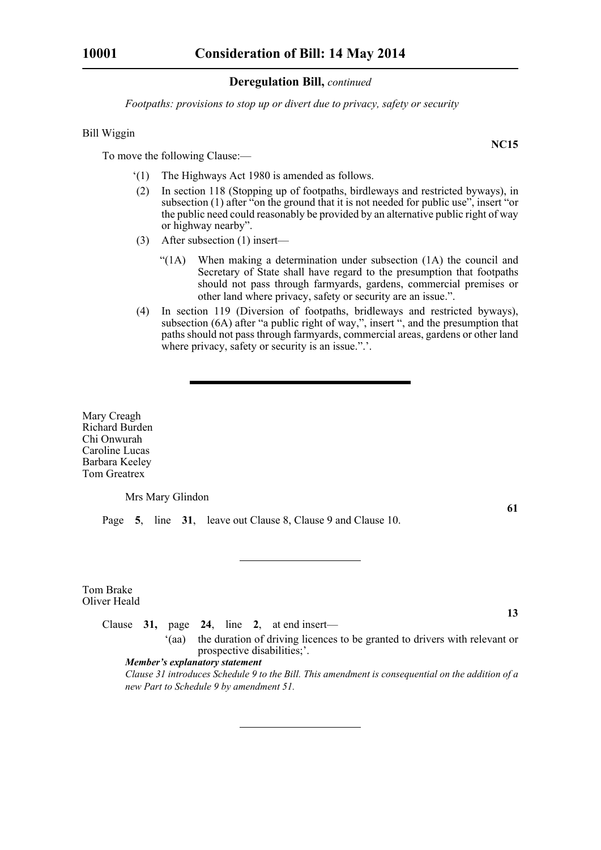*Footpaths: provisions to stop up or divert due to privacy, safety or security*

## Bill Wiggin

To move the following Clause:—

- '(1) The Highways Act 1980 is amended as follows.
- (2) In section 118 (Stopping up of footpaths, birdleways and restricted byways), in subsection (1) after "on the ground that it is not needed for public use", insert "or the public need could reasonably be provided by an alternative public right of way or highway nearby".
- (3) After subsection (1) insert—
	- "(1A) When making a determination under subsection (1A) the council and Secretary of State shall have regard to the presumption that footpaths should not pass through farmyards, gardens, commercial premises or other land where privacy, safety or security are an issue.".
- (4) In section 119 (Diversion of footpaths, bridleways and restricted byways), subsection (6A) after "a public right of way,", insert ", and the presumption that paths should not pass through farmyards, commercial areas, gardens or other land where privacy, safety or security is an issue.".'.

Mary Creagh Richard Burden Chi Onwurah Caroline Lucas Barbara Keeley Tom Greatrex

Mrs Mary Glindon

Page **5**, line **31**, leave out Clause 8, Clause 9 and Clause 10.

Tom Brake Oliver Heald

**13**

**61**

'(aa) the duration of driving licences to be granted to drivers with relevant or prospective disabilities;'.

*Member's explanatory statement* 

Clause **31,** page **24**, line **2**, at end insert—

*Clause 31 introduces Schedule 9 to the Bill. This amendment is consequential on the addition of a new Part to Schedule 9 by amendment 51.*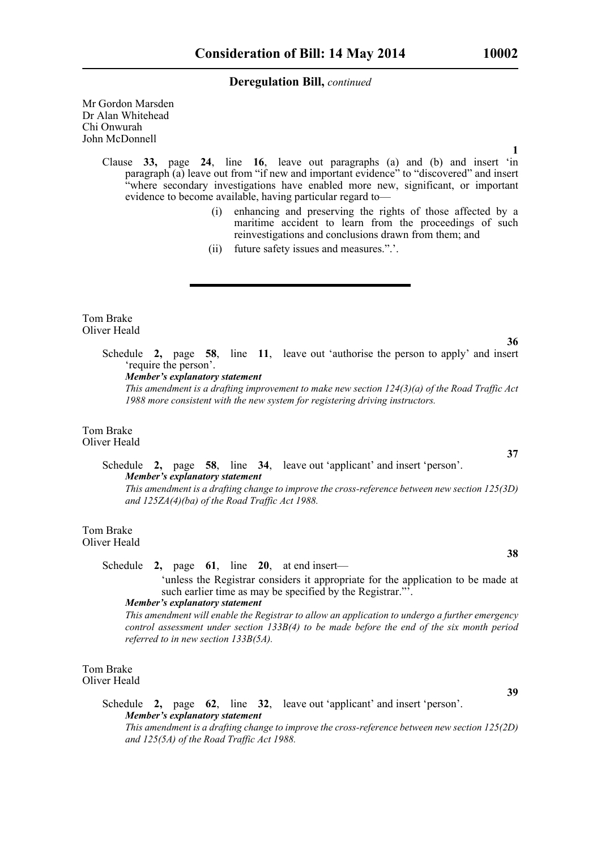Mr Gordon Marsden Dr Alan Whitehead Chi Onwurah John McDonnell

**1**

Clause **33,** page **24**, line **16**, leave out paragraphs (a) and (b) and insert 'in paragraph (a) leave out from "if new and important evidence" to "discovered" and insert "where secondary investigations have enabled more new, significant, or important evidence to become available, having particular regard to—

- (i) enhancing and preserving the rights of those affected by a maritime accident to learn from the proceedings of such reinvestigations and conclusions drawn from them; and
- (ii) future safety issues and measures.".'.

Tom Brake Oliver Heald

> Schedule **2,** page **58**, line **11**, leave out 'authorise the person to apply' and insert 'require the person'.

*Member's explanatory statement* 

*This amendment is a drafting improvement to make new section 124(3)(a) of the Road Traffic Act 1988 more consistent with the new system for registering driving instructors.*

#### Tom Brake Oliver Heald

## Schedule **2,** page **58**, line **34**, leave out 'applicant' and insert 'person'. *Member's explanatory statement*

*This amendment is a drafting change to improve the cross-reference between new section 125(3D) and 125ZA(4)(ba) of the Road Traffic Act 1988.*

Tom Brake Oliver Heald

Schedule **2,** page **61**, line **20**, at end insert—

 'unless the Registrar considers it appropriate for the application to be made at such earlier time as may be specified by the Registrar."<sup>5</sup>.

#### *Member's explanatory statement*

*This amendment will enable the Registrar to allow an application to undergo a further emergency control assessment under section 133B(4) to be made before the end of the six month period referred to in new section 133B(5A).*

Tom Brake Oliver Heald

**39**

Schedule **2,** page **62**, line **32**, leave out 'applicant' and insert 'person'. *Member's explanatory statement This amendment is a drafting change to improve the cross-reference between new section 125(2D) and 125(5A) of the Road Traffic Act 1988.*

**36**

**37**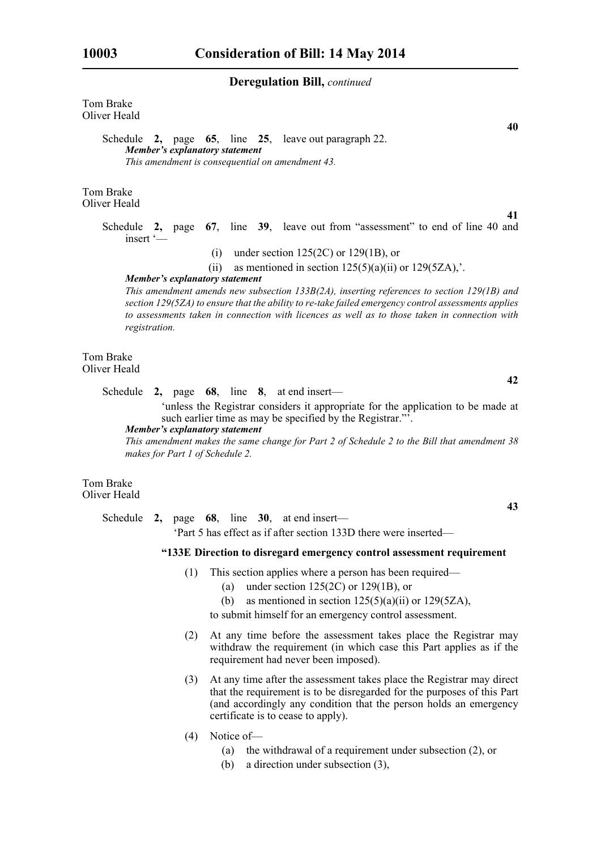Tom Brake Oliver Heald

> Schedule **2,** page **65**, line **25**, leave out paragraph 22. *Member's explanatory statement This amendment is consequential on amendment 43.*

Tom Brake Oliver Heald

**41**

**40**

Schedule **2,** page **67**, line **39**, leave out from "assessment" to end of line 40 and insert '—

- (i) under section  $125(2C)$  or  $129(1B)$ , or
- (ii) as mentioned in section  $125(5)(a)(ii)$  or  $129(5ZA)$ ,...

*Member's explanatory statement* 

*This amendment amends new subsection 133B(2A), inserting references to section 129(1B) and section 129(5ZA) to ensure that the ability to re-take failed emergency control assessments applies to assessments taken in connection with licences as well as to those taken in connection with registration.*

Tom Brake Oliver Heald

Schedule **2,** page **68**, line **8**, at end insert—

 'unless the Registrar considers it appropriate for the application to be made at such earlier time as may be specified by the Registrar."

*Member's explanatory statement* 

*This amendment makes the same change for Part 2 of Schedule 2 to the Bill that amendment 38 makes for Part 1 of Schedule 2.*

## Tom Brake Oliver Heald

Schedule **2,** page **68**, line **30**, at end insert— 'Part 5 has effect as if after section 133D there were inserted—

#### **"133E Direction to disregard emergency control assessment requirement**

- (1) This section applies where a person has been required—
	- (a) under section  $125(2C)$  or  $129(1B)$ , or
	- (b) as mentioned in section  $125(5)(a)(ii)$  or  $129(5ZA)$ ,
	- to submit himself for an emergency control assessment.
- (2) At any time before the assessment takes place the Registrar may withdraw the requirement (in which case this Part applies as if the requirement had never been imposed).
- (3) At any time after the assessment takes place the Registrar may direct that the requirement is to be disregarded for the purposes of this Part (and accordingly any condition that the person holds an emergency certificate is to cease to apply).
- (4) Notice of—
	- (a) the withdrawal of a requirement under subsection (2), or
	- (b) a direction under subsection (3),

**42**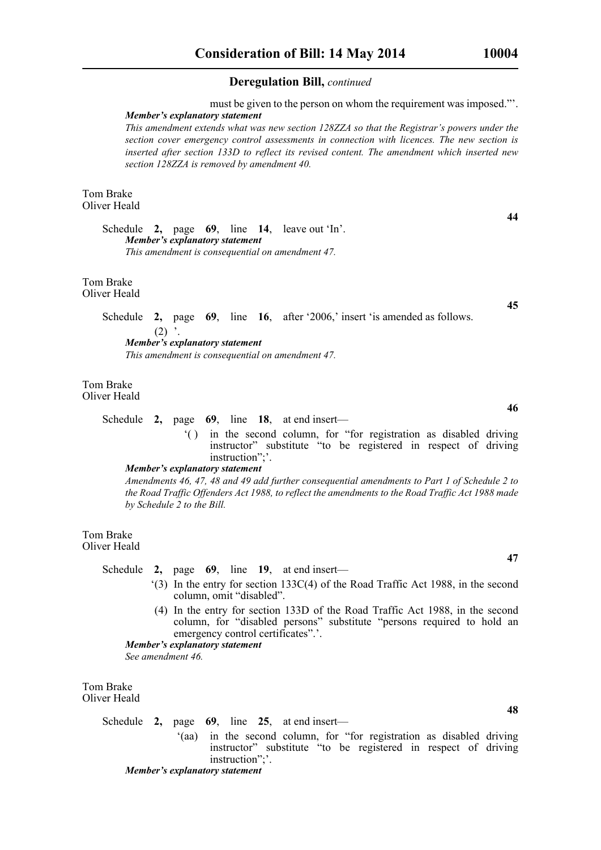must be given to the person on whom the requirement was imposed."'. *Member's explanatory statement* 

*This amendment extends what was new section 128ZZA so that the Registrar's powers under the section cover emergency control assessments in connection with licences. The new section is inserted after section 133D to reflect its revised content. The amendment which inserted new section 128ZZA is removed by amendment 40.*

Tom Brake Oliver Heald

> Schedule **2,** page **69**, line **14**, leave out 'In'. *Member's explanatory statement This amendment is consequential on amendment 47.*

Tom Brake Oliver Heald

> Schedule **2,** page **69**, line **16**, after '2006,' insert 'is amended as follows.  $(2)$   $\,$ . *Member's explanatory statement This amendment is consequential on amendment 47.*

Tom Brake Oliver Heald

- Schedule **2,** page **69**, line **18**, at end insert—
	- '( ) in the second column, for "for registration as disabled driving instructor" substitute "to be registered in respect of driving instruction":

### *Member's explanatory statement*

*Amendments 46, 47, 48 and 49 add further consequential amendments to Part 1 of Schedule 2 to the Road Traffic Offenders Act 1988, to reflect the amendments to the Road Traffic Act 1988 made by Schedule 2 to the Bill.*

Tom Brake Oliver Heald

Schedule **2,** page **69**, line **19**, at end insert—

- '(3) In the entry for section 133C(4) of the Road Traffic Act 1988, in the second column, omit "disabled".
- (4) In the entry for section 133D of the Road Traffic Act 1988, in the second column, for "disabled persons" substitute "persons required to hold an emergency control certificates".'.

*Member's explanatory statement See amendment 46.*

Tom Brake Oliver Heald

Schedule **2,** page **69**, line **25**, at end insert—

'(aa) in the second column, for "for registration as disabled driving instructor" substitute "to be registered in respect of driving instruction";'.

*Member's explanatory statement* 

**44**

**45**

**46**

**47**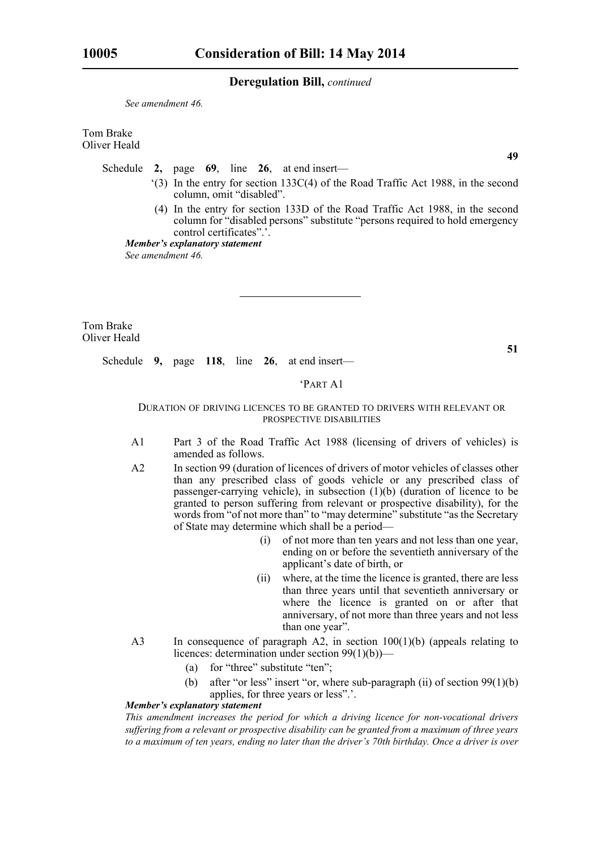*See amendment 46.*

Tom Brake Oliver Heald

Schedule **2,** page **69**, line **26**, at end insert—

- '(3) In the entry for section 133C(4) of the Road Traffic Act 1988, in the second column, omit "disabled".
- (4) In the entry for section 133D of the Road Traffic Act 1988, in the second column for "disabled persons" substitute "persons required to hold emergency control certificates".'.

*Member's explanatory statement See amendment 46.*

Tom Brake Oliver Heald

Schedule **9,** page **118**, line **26**, at end insert—

#### 'PART A1

#### DURATION OF DRIVING LICENCES TO BE GRANTED TO DRIVERS WITH RELEVANT OR PROSPECTIVE DISABILITIES

- A1 Part 3 of the Road Traffic Act 1988 (licensing of drivers of vehicles) is amended as follows.
- A2 In section 99 (duration of licences of drivers of motor vehicles of classes other than any prescribed class of goods vehicle or any prescribed class of passenger-carrying vehicle), in subsection (1)(b) (duration of licence to be granted to person suffering from relevant or prospective disability), for the words from "of not more than" to "may determine" substitute "as the Secretary of State may determine which shall be a period—
	- (i) of not more than ten years and not less than one year, ending on or before the seventieth anniversary of the applicant's date of birth, or
	- (ii) where, at the time the licence is granted, there are less than three years until that seventieth anniversary or where the licence is granted on or after that anniversary, of not more than three years and not less than one year".
- A3 In consequence of paragraph A2, in section 100(1)(b) (appeals relating to licences: determination under section 99(1)(b))—
	- (a) for "three" substitute "ten";
	- (b) after "or less" insert "or, where sub-paragraph (ii) of section 99(1)(b) applies, for three years or less".'.

#### *Member's explanatory statement*

*This amendment increases the period for which a driving licence for non-vocational drivers suffering from a relevant or prospective disability can be granted from a maximum of three years to a maximum of ten years, ending no later than the driver's 70th birthday. Once a driver is over*

**49**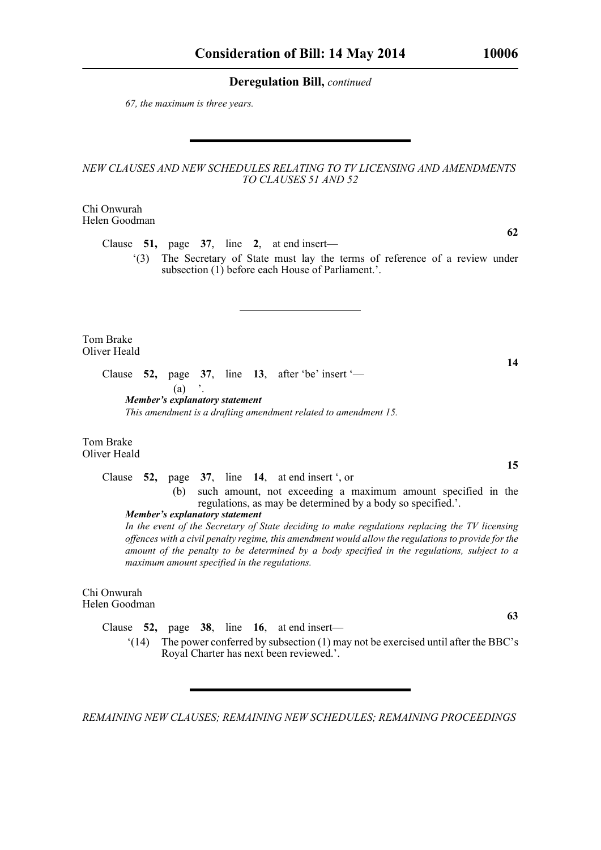*67, the maximum is three years.* 

## *NEW CLAUSES AND NEW SCHEDULES RELATING TO TV LICENSING AND AMENDMENTS TO CLAUSES 51 AND 52*

Chi Onwurah Helen Goodman

Clause **51,** page **37**, line **2**, at end insert—

'(3) The Secretary of State must lay the terms of reference of a review under subsection (1) before each House of Parliament.'.

Tom Brake Oliver Heald

> Clause **52,** page **37**, line **13**, after 'be' insert '—  $(a)$ *Member's explanatory statement*

*This amendment is a drafting amendment related to amendment 15.*

Tom Brake Oliver Heald

> Clause **52,** page **37**, line **14**, at end insert ', or (b) such amount, not exceeding a maximum amount specified in the regulations, as may be determined by a body so specified.'.

*Member's explanatory statement* 

*In the event of the Secretary of State deciding to make regulations replacing the TV licensing offences with a civil penalty regime, this amendment would allow the regulations to provide for the amount of the penalty to be determined by a body specified in the regulations, subject to a maximum amount specified in the regulations.*

## Chi Onwurah Helen Goodman

Clause **52,** page **38**, line **16**, at end insert—

'(14) The power conferred by subsection (1) may not be exercised until after the BBC's Royal Charter has next been reviewed.'.

*REMAINING NEW CLAUSES; REMAINING NEW SCHEDULES; REMAINING PROCEEDINGS* 

**14**

**62**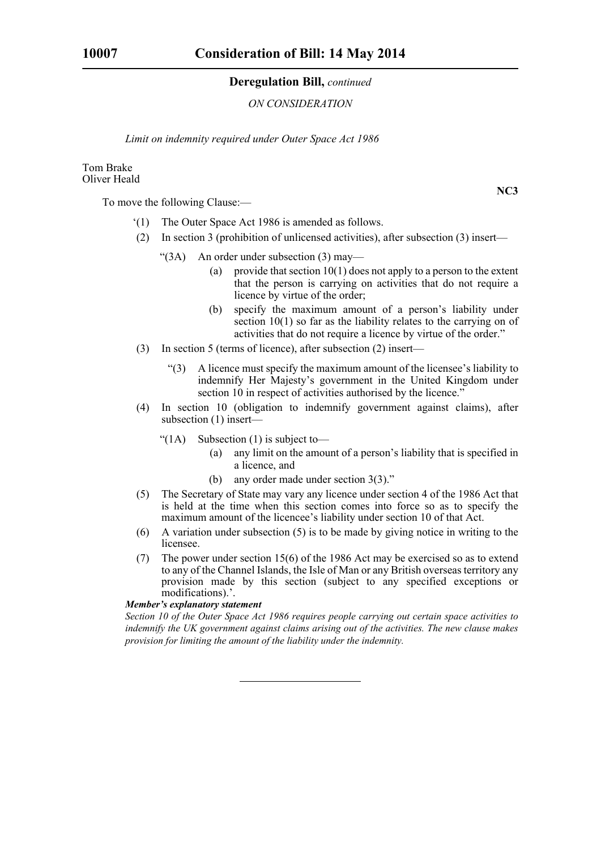#### *ON CONSIDERATION*

*Limit on indemnity required under Outer Space Act 1986*

## Tom Brake Oliver Heald

To move the following Clause:—

- '(1) The Outer Space Act 1986 is amended as follows.
- (2) In section 3 (prohibition of unlicensed activities), after subsection (3) insert—
	- " $(3A)$  An order under subsection  $(3)$  may—
		- (a) provide that section  $10(1)$  does not apply to a person to the extent that the person is carrying on activities that do not require a licence by virtue of the order;
		- (b) specify the maximum amount of a person's liability under section 10(1) so far as the liability relates to the carrying on of activities that do not require a licence by virtue of the order."
- (3) In section 5 (terms of licence), after subsection (2) insert—
	- "(3) A licence must specify the maximum amount of the licensee's liability to indemnify Her Majesty's government in the United Kingdom under section 10 in respect of activities authorised by the licence."
- (4) In section 10 (obligation to indemnify government against claims), after subsection (1) insert—
	- " $(1A)$  Subsection  $(1)$  is subject to-
		- (a) any limit on the amount of a person's liability that is specified in a licence, and
		- (b) any order made under section 3(3)."
- (5) The Secretary of State may vary any licence under section 4 of the 1986 Act that is held at the time when this section comes into force so as to specify the maximum amount of the licencee's liability under section 10 of that Act.
- (6) A variation under subsection (5) is to be made by giving notice in writing to the licensee.
- (7) The power under section 15(6) of the 1986 Act may be exercised so as to extend to any of the Channel Islands, the Isle of Man or any British overseas territory any provision made by this section (subject to any specified exceptions or modifications).'.

## *Member's explanatory statement*

*Section 10 of the Outer Space Act 1986 requires people carrying out certain space activities to indemnify the UK government against claims arising out of the activities. The new clause makes provision for limiting the amount of the liability under the indemnity.*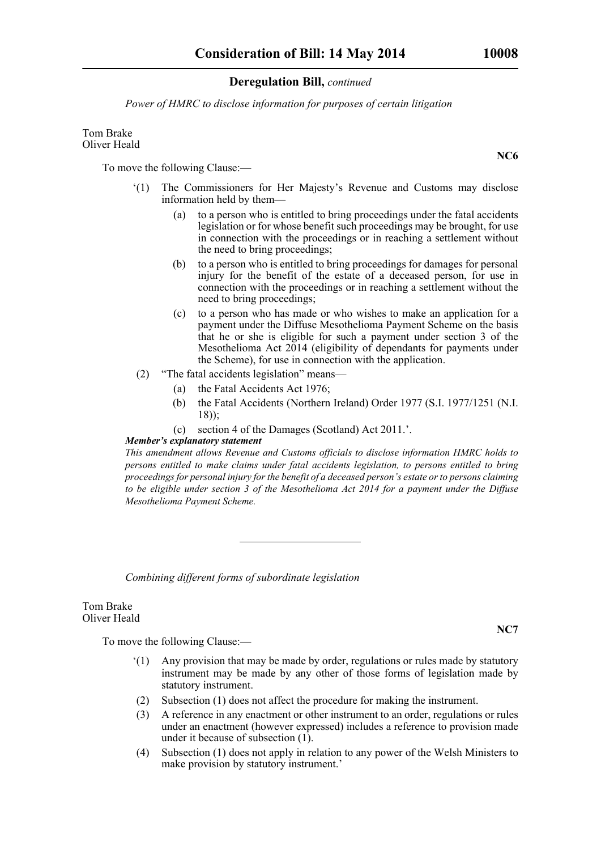*Power of HMRC to disclose information for purposes of certain litigation*

## Tom Brake Oliver Heald

To move the following Clause:—

- '(1) The Commissioners for Her Majesty's Revenue and Customs may disclose information held by them—
	- (a) to a person who is entitled to bring proceedings under the fatal accidents legislation or for whose benefit such proceedings may be brought, for use in connection with the proceedings or in reaching a settlement without the need to bring proceedings;
	- (b) to a person who is entitled to bring proceedings for damages for personal injury for the benefit of the estate of a deceased person, for use in connection with the proceedings or in reaching a settlement without the need to bring proceedings;
	- (c) to a person who has made or who wishes to make an application for a payment under the Diffuse Mesothelioma Payment Scheme on the basis that he or she is eligible for such a payment under section 3 of the Mesothelioma Act  $2\overline{0}14$  (eligibility of dependants for payments under the Scheme), for use in connection with the application.
- (2) "The fatal accidents legislation" means—
	- (a) the Fatal Accidents Act 1976;
	- (b) the Fatal Accidents (Northern Ireland) Order 1977 (S.I. 1977/1251 (N.I. 18));
	- (c) section 4 of the Damages (Scotland) Act 2011.'.
- *Member's explanatory statement*

*This amendment allows Revenue and Customs officials to disclose information HMRC holds to persons entitled to make claims under fatal accidents legislation, to persons entitled to bring proceedings for personal injury for the benefit of a deceased person's estate or to persons claiming to be eligible under section 3 of the Mesothelioma Act 2014 for a payment under the Diffuse Mesothelioma Payment Scheme.*

*Combining different forms of subordinate legislation*

Tom Brake Oliver Heald

To move the following Clause:—

- '(1) Any provision that may be made by order, regulations or rules made by statutory instrument may be made by any other of those forms of legislation made by statutory instrument.
- (2) Subsection (1) does not affect the procedure for making the instrument.
- (3) A reference in any enactment or other instrument to an order, regulations or rules under an enactment (however expressed) includes a reference to provision made under it because of subsection (1).
- (4) Subsection (1) does not apply in relation to any power of the Welsh Ministers to make provision by statutory instrument.'

**NC7**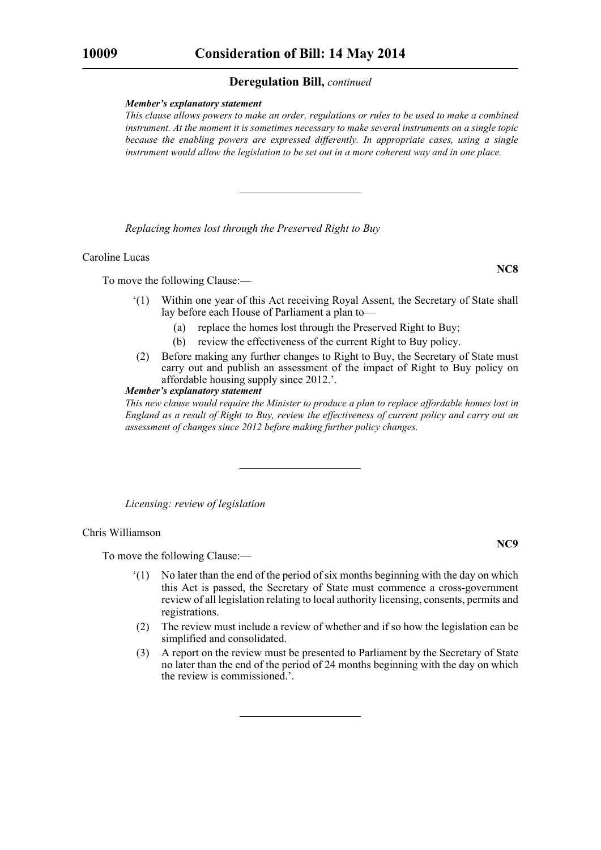#### *Member's explanatory statement*

*This clause allows powers to make an order, regulations or rules to be used to make a combined instrument. At the moment it is sometimes necessary to make several instruments on a single topic because the enabling powers are expressed differently. In appropriate cases, using a single instrument would allow the legislation to be set out in a more coherent way and in one place.*

*Replacing homes lost through the Preserved Right to Buy*

#### Caroline Lucas

To move the following Clause:—

- '(1) Within one year of this Act receiving Royal Assent, the Secretary of State shall lay before each House of Parliament a plan to—
	- (a) replace the homes lost through the Preserved Right to Buy;
	- (b) review the effectiveness of the current Right to Buy policy.
- (2) Before making any further changes to Right to Buy, the Secretary of State must carry out and publish an assessment of the impact of Right to Buy policy on affordable housing supply since 2012.'.

## *Member's explanatory statement*

*This new clause would require the Minister to produce a plan to replace affordable homes lost in England as a result of Right to Buy, review the effectiveness of current policy and carry out an assessment of changes since 2012 before making further policy changes.*

*Licensing: review of legislation*

#### Chris Williamson

To move the following Clause:—

- '(1) No later than the end of the period of six months beginning with the day on which this Act is passed, the Secretary of State must commence a cross-government review of all legislation relating to local authority licensing, consents, permits and registrations.
- (2) The review must include a review of whether and if so how the legislation can be simplified and consolidated.
- (3) A report on the review must be presented to Parliament by the Secretary of State no later than the end of the period of 24 months beginning with the day on which the review is commissioned.'.

**NC8**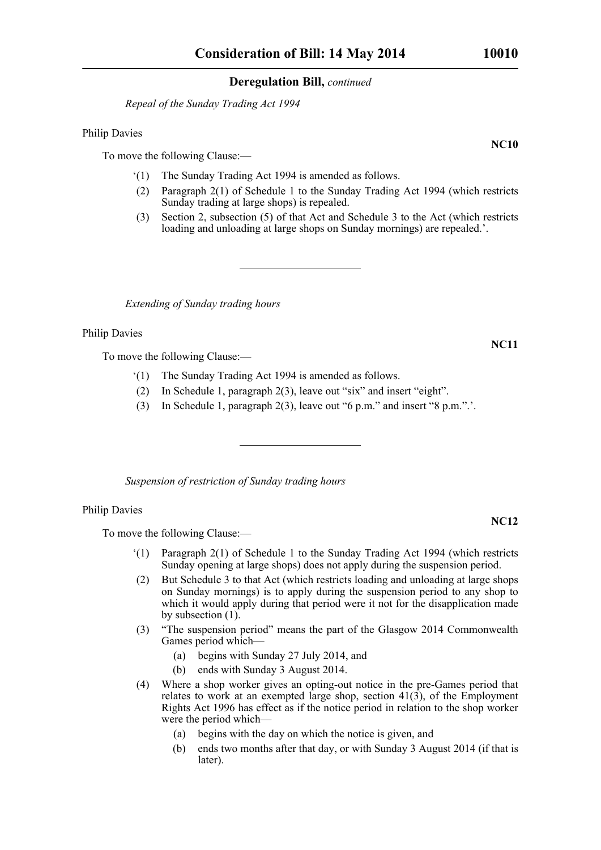*Repeal of the Sunday Trading Act 1994*

Philip Davies

To move the following Clause:—

- '(1) The Sunday Trading Act 1994 is amended as follows.
- (2) Paragraph 2(1) of Schedule 1 to the Sunday Trading Act 1994 (which restricts Sunday trading at large shops) is repealed.
- (3) Section 2, subsection (5) of that Act and Schedule 3 to the Act (which restricts loading and unloading at large shops on Sunday mornings) are repealed.'.

*Extending of Sunday trading hours*

Philip Davies

To move the following Clause:—

- '(1) The Sunday Trading Act 1994 is amended as follows.
- (2) In Schedule 1, paragraph 2(3), leave out "six" and insert "eight".
- (3) In Schedule 1, paragraph 2(3), leave out "6 p.m." and insert "8 p.m.".'.

*Suspension of restriction of Sunday trading hours*

## Philip Davies

To move the following Clause:—

- '(1) Paragraph 2(1) of Schedule 1 to the Sunday Trading Act 1994 (which restricts Sunday opening at large shops) does not apply during the suspension period.
- (2) But Schedule 3 to that Act (which restricts loading and unloading at large shops on Sunday mornings) is to apply during the suspension period to any shop to which it would apply during that period were it not for the disapplication made by subsection (1).
- (3) "The suspension period" means the part of the Glasgow 2014 Commonwealth Games period which—
	- (a) begins with Sunday 27 July 2014, and
	- (b) ends with Sunday 3 August 2014.
- (4) Where a shop worker gives an opting-out notice in the pre-Games period that relates to work at an exempted large shop, section 41(3), of the Employment Rights Act 1996 has effect as if the notice period in relation to the shop worker were the period which—
	- (a) begins with the day on which the notice is given, and
	- (b) ends two months after that day, or with Sunday 3 August 2014 (if that is later).

**NC11**

## **NC12**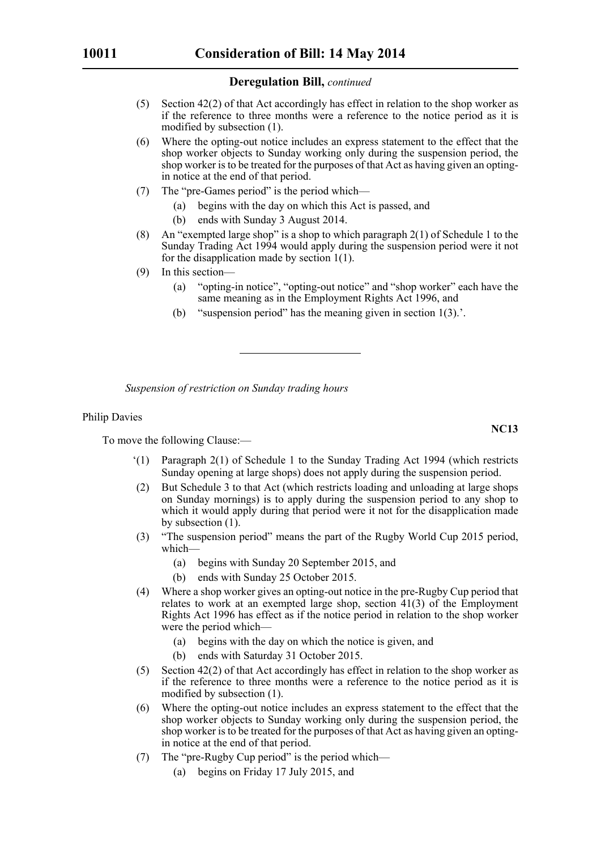- (5) Section 42(2) of that Act accordingly has effect in relation to the shop worker as if the reference to three months were a reference to the notice period as it is modified by subsection (1).
- (6) Where the opting-out notice includes an express statement to the effect that the shop worker objects to Sunday working only during the suspension period, the shop worker is to be treated for the purposes of that Act as having given an optingin notice at the end of that period.
- (7) The "pre-Games period" is the period which—
	- (a) begins with the day on which this Act is passed, and
	- (b) ends with Sunday 3 August 2014.
- (8) An "exempted large shop" is a shop to which paragraph 2(1) of Schedule 1 to the Sunday Trading Act 1994 would apply during the suspension period were it not for the disapplication made by section 1(1).
- (9) In this section—
	- (a) "opting-in notice", "opting-out notice" and "shop worker" each have the same meaning as in the Employment Rights Act 1996, and
	- (b) "suspension period" has the meaning given in section 1(3).'.

*Suspension of restriction on Sunday trading hours*

#### Philip Davies

To move the following Clause:—

- $'(1)$  Paragraph 2(1) of Schedule 1 to the Sunday Trading Act 1994 (which restricts Sunday opening at large shops) does not apply during the suspension period.
- (2) But Schedule 3 to that Act (which restricts loading and unloading at large shops on Sunday mornings) is to apply during the suspension period to any shop to which it would apply during that period were it not for the disapplication made by subsection (1).
- (3) "The suspension period" means the part of the Rugby World Cup 2015 period, which—
	- (a) begins with Sunday 20 September 2015, and
	- (b) ends with Sunday 25 October 2015.
- (4) Where a shop worker gives an opting-out notice in the pre-Rugby Cup period that relates to work at an exempted large shop, section  $41(3)$  of the Employment Rights Act 1996 has effect as if the notice period in relation to the shop worker were the period which—
	- (a) begins with the day on which the notice is given, and
	- (b) ends with Saturday 31 October 2015.
- (5) Section 42(2) of that Act accordingly has effect in relation to the shop worker as if the reference to three months were a reference to the notice period as it is modified by subsection (1).
- (6) Where the opting-out notice includes an express statement to the effect that the shop worker objects to Sunday working only during the suspension period, the shop worker is to be treated for the purposes of that Act as having given an optingin notice at the end of that period.
- (7) The "pre-Rugby Cup period" is the period which—
	- (a) begins on Friday 17 July 2015, and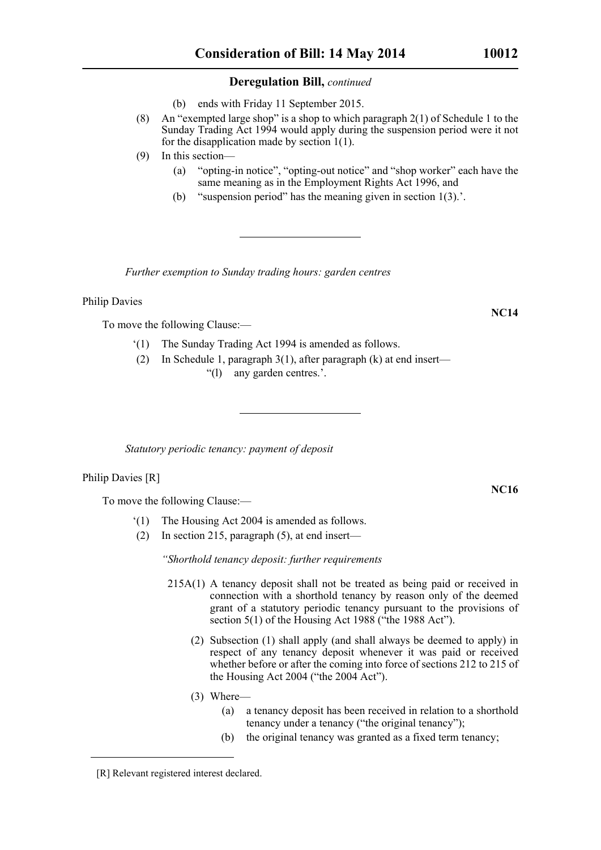(b) ends with Friday 11 September 2015.

- (8) An "exempted large shop" is a shop to which paragraph 2(1) of Schedule 1 to the Sunday Trading Act 1994 would apply during the suspension period were it not for the disapplication made by section 1(1).
- (9) In this section—
	- (a) "opting-in notice", "opting-out notice" and "shop worker" each have the same meaning as in the Employment Rights Act 1996, and
	- (b) "suspension period" has the meaning given in section 1(3).'.

*Further exemption to Sunday trading hours: garden centres*

Philip Davies

To move the following Clause:—

- '(1) The Sunday Trading Act 1994 is amended as follows.
- (2) In Schedule 1, paragraph 3(1), after paragraph (k) at end insert— "(l) any garden centres.'.

*Statutory periodic tenancy: payment of deposit*

Philip Davies [R]

To move the following Clause:—

- '(1) The Housing Act 2004 is amended as follows.
- (2) In section 215, paragraph (5), at end insert—

*"Shorthold tenancy deposit: further requirements*

- 215A(1) A tenancy deposit shall not be treated as being paid or received in connection with a shorthold tenancy by reason only of the deemed grant of a statutory periodic tenancy pursuant to the provisions of section 5(1) of the Housing Act 1988 ("the 1988 Act").
	- (2) Subsection (1) shall apply (and shall always be deemed to apply) in respect of any tenancy deposit whenever it was paid or received whether before or after the coming into force of sections 212 to 215 of the Housing Act 2004 ("the 2004 Act").
	- (3) Where—
		- (a) a tenancy deposit has been received in relation to a shorthold tenancy under a tenancy ("the original tenancy");
		- (b) the original tenancy was granted as a fixed term tenancy;

**NC16**

<sup>[</sup>R] Relevant registered interest declared.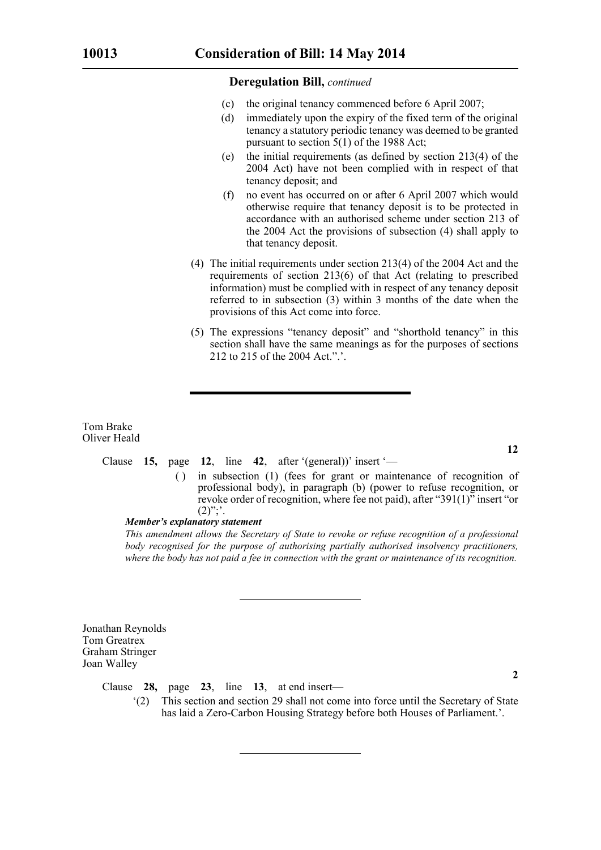- (c) the original tenancy commenced before 6 April 2007;
- (d) immediately upon the expiry of the fixed term of the original tenancy a statutory periodic tenancy was deemed to be granted pursuant to section 5(1) of the 1988 Act;
- (e) the initial requirements (as defined by section 213(4) of the 2004 Act) have not been complied with in respect of that tenancy deposit; and
- (f) no event has occurred on or after 6 April 2007 which would otherwise require that tenancy deposit is to be protected in accordance with an authorised scheme under section 213 of the 2004 Act the provisions of subsection (4) shall apply to that tenancy deposit.
- (4) The initial requirements under section 213(4) of the 2004 Act and the requirements of section 213(6) of that Act (relating to prescribed information) must be complied with in respect of any tenancy deposit referred to in subsection (3) within 3 months of the date when the provisions of this Act come into force.
- (5) The expressions "tenancy deposit" and "shorthold tenancy" in this section shall have the same meanings as for the purposes of sections 212 to 215 of the 2004 Act.".'.

Tom Brake Oliver Heald

#### Clause **15,** page **12**, line **42**, after '(general))' insert '—

( ) in subsection (1) (fees for grant or maintenance of recognition of professional body), in paragraph (b) (power to refuse recognition, or revoke order of recognition, where fee not paid), after "391(1)" insert "or  $(2)$ ";'.

#### *Member's explanatory statement*

*This amendment allows the Secretary of State to revoke or refuse recognition of a professional body recognised for the purpose of authorising partially authorised insolvency practitioners, where the body has not paid a fee in connection with the grant or maintenance of its recognition.*

Jonathan Reynolds Tom Greatrex Graham Stringer Joan Walley

Clause **28,** page **23**, line **13**, at end insert—

**2**

'(2) This section and section 29 shall not come into force until the Secretary of State has laid a Zero-Carbon Housing Strategy before both Houses of Parliament.'.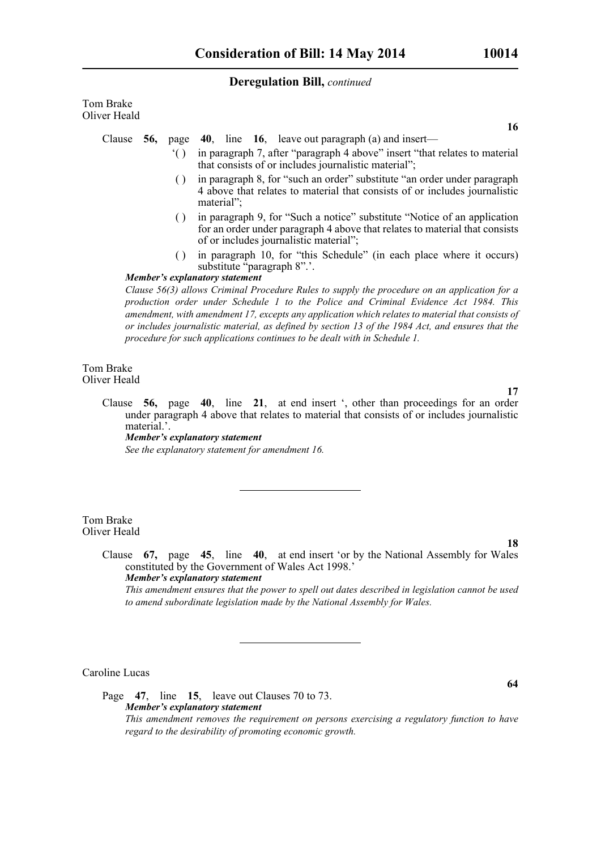Tom Brake Oliver Heald

Clause **56,** page **40**, line **16**, leave out paragraph (a) and insert—

- '( ) in paragraph 7, after "paragraph 4 above" insert "that relates to material that consists of or includes journalistic material";
- ( ) in paragraph 8, for "such an order" substitute "an order under paragraph 4 above that relates to material that consists of or includes journalistic material";
- ( ) in paragraph 9, for "Such a notice" substitute "Notice of an application for an order under paragraph 4 above that relates to material that consists of or includes journalistic material";
- ( ) in paragraph 10, for "this Schedule" (in each place where it occurs) substitute "paragraph 8".'.

#### *Member's explanatory statement*

*Clause 56(3) allows Criminal Procedure Rules to supply the procedure on an application for a production order under Schedule 1 to the Police and Criminal Evidence Act 1984. This amendment, with amendment 17, excepts any application which relates to material that consists of or includes journalistic material, as defined by section 13 of the 1984 Act, and ensures that the procedure for such applications continues to be dealt with in Schedule 1.*

Tom Brake Oliver Heald

> Clause **56,** page **40**, line **21**, at end insert ', other than proceedings for an order under paragraph 4 above that relates to material that consists of or includes journalistic material.'. *Member's explanatory statement See the explanatory statement for amendment 16.*

Tom Brake Oliver Heald

> Clause **67,** page **45**, line **40**, at end insert 'or by the National Assembly for Wales constituted by the Government of Wales Act 1998.' *Member's explanatory statement*

*This amendment ensures that the power to spell out dates described in legislation cannot be used to amend subordinate legislation made by the National Assembly for Wales.*

Caroline Lucas

Page **47**, line **15**, leave out Clauses 70 to 73. *Member's explanatory statement This amendment removes the requirement on persons exercising a regulatory function to have regard to the desirability of promoting economic growth.*

**64**

**18**

**16**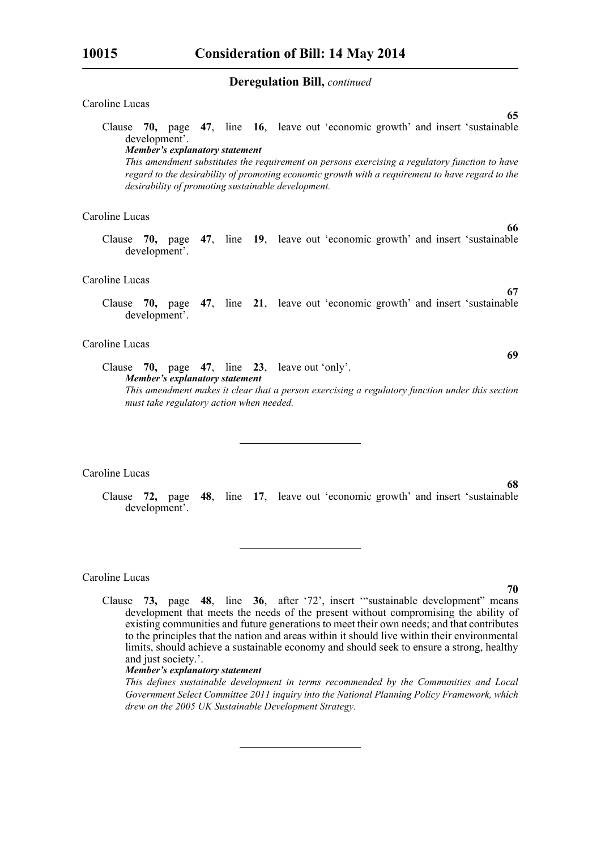#### Caroline Lucas

Clause **70,** page **47**, line **16**, leave out 'economic growth' and insert 'sustainable development'.

*Member's explanatory statement* 

*This amendment substitutes the requirement on persons exercising a regulatory function to have regard to the desirability of promoting economic growth with a requirement to have regard to the desirability of promoting sustainable development.*

## Caroline Lucas

Clause **70,** page **47**, line **19**, leave out 'economic growth' and insert 'sustainable development'.

#### Caroline Lucas

Clause **70,** page **47**, line **21**, leave out 'economic growth' and insert 'sustainable development'.

## Caroline Lucas

Clause **70,** page **47**, line **23**, leave out 'only'. *Member's explanatory statement This amendment makes it clear that a person exercising a regulatory function under this section must take regulatory action when needed.*

#### Caroline Lucas

Clause **72,** page **48**, line **17**, leave out 'economic growth' and insert 'sustainable development'.

#### Caroline Lucas

**70**

**68**

**65**

**66**

**67**

**69**

Clause **73,** page **48**, line **36**, after '72', insert '"sustainable development" means development that meets the needs of the present without compromising the ability of existing communities and future generations to meet their own needs; and that contributes to the principles that the nation and areas within it should live within their environmental limits, should achieve a sustainable economy and should seek to ensure a strong, healthy and just society.'.

## *Member's explanatory statement*

*This defines sustainable development in terms recommended by the Communities and Local Government Select Committee 2011 inquiry into the National Planning Policy Framework, which drew on the 2005 UK Sustainable Development Strategy.*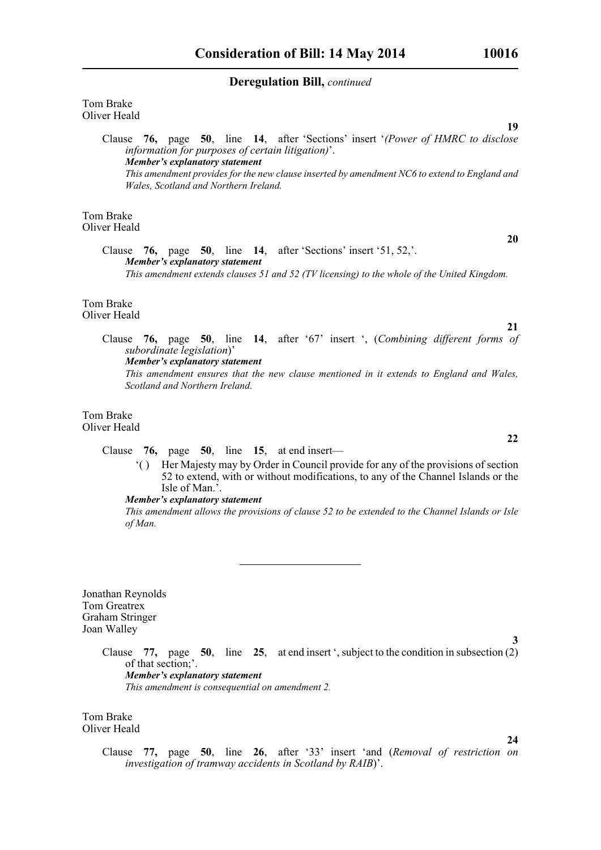Tom Brake Oliver Heald

> Clause **76,** page **50**, line **14**, after 'Sections' insert '*(Power of HMRC to disclose information for purposes of certain litigation)*'. *Member's explanatory statement This amendment provides for the new clause inserted by amendment NC6 to extend to England and Wales, Scotland and Northern Ireland.*

Tom Brake Oliver Heald

> Clause **76,** page **50**, line **14**, after 'Sections' insert '51, 52,'. *Member's explanatory statement This amendment extends clauses 51 and 52 (TV licensing) to the whole of the United Kingdom.*

Tom Brake Oliver Heald

> Clause **76,** page **50**, line **14**, after '67' insert ', (*Combining different forms of subordinate legislation*)'

*Member's explanatory statement* 

*This amendment ensures that the new clause mentioned in it extends to England and Wales, Scotland and Northern Ireland.*

#### Tom Brake Oliver Heald

Clause **76,** page **50**, line **15**, at end insert—

'( ) Her Majesty may by Order in Council provide for any of the provisions of section 52 to extend, with or without modifications, to any of the Channel Islands or the Isle of Man.'.

#### *Member's explanatory statement*

*This amendment allows the provisions of clause 52 to be extended to the Channel Islands or Isle of Man.*

Jonathan Reynolds Tom Greatrex Graham Stringer Joan Walley

> Clause **77,** page **50**, line **25**, at end insert ', subject to the condition in subsection (2) of that section;'. *Member's explanatory statement This amendment is consequential on amendment 2.*

Tom Brake Oliver Heald **20**

**21**

**19**

**22**

**3**

Clause **77,** page **50**, line **26**, after '33' insert 'and (*Removal of restriction on investigation of tramway accidents in Scotland by RAIB*)'.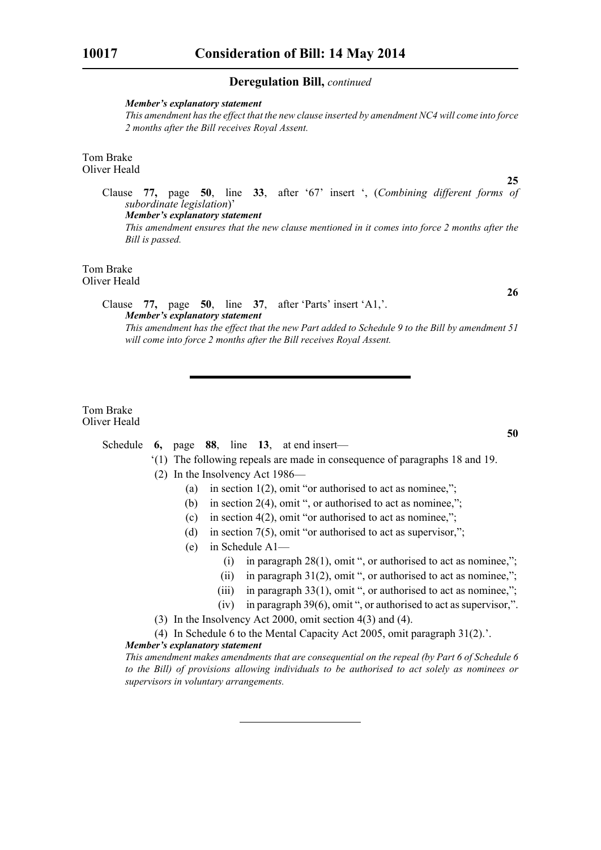#### *Member's explanatory statement*

*This amendment has the effect that the new clause inserted by amendment NC4 will come into force 2 months after the Bill receives Royal Assent.*

#### Tom Brake Oliver Heald

**25** Clause **77,** page **50**, line **33**, after '67' insert ', (*Combining different forms of subordinate legislation*)' *Member's explanatory statement This amendment ensures that the new clause mentioned in it comes into force 2 months after the Bill is passed.*

#### Tom Brake Oliver Heald

Clause **77,** page **50**, line **37**, after 'Parts' insert 'A1,'. *Member's explanatory statement* 

*This amendment has the effect that the new Part added to Schedule 9 to the Bill by amendment 51 will come into force 2 months after the Bill receives Royal Assent.*

#### Tom Brake Oliver Heald

## Schedule **6,** page **88**, line **13**, at end insert—

- '(1) The following repeals are made in consequence of paragraphs 18 and 19.
	- (2) In the Insolvency Act 1986—
		- (a) in section  $1(2)$ , omit "or authorised to act as nominee,";
		- (b) in section 2(4), omit ", or authorised to act as nominee,";
		- (c) in section  $4(2)$ , omit "or authorised to act as nominee,";
		- (d) in section  $7(5)$ , omit "or authorised to act as supervisor,";
		- (e) in Schedule A1—
			- (i) in paragraph  $28(1)$ , omit ", or authorised to act as nominee,";
			- (ii) in paragraph  $31(2)$ , omit ", or authorised to act as nominee,";
			- (iii) in paragraph  $33(1)$ , omit ", or authorised to act as nominee,";
			- (iv) in paragraph 39(6), omit ", or authorised to act as supervisor,".
	- (3) In the Insolvency Act 2000, omit section 4(3) and (4).
- (4) In Schedule 6 to the Mental Capacity Act 2005, omit paragraph 31(2).'. *Member's explanatory statement*

*This amendment makes amendments that are consequential on the repeal (by Part 6 of Schedule 6 to the Bill) of provisions allowing individuals to be authorised to act solely as nominees or supervisors in voluntary arrangements.*

**26**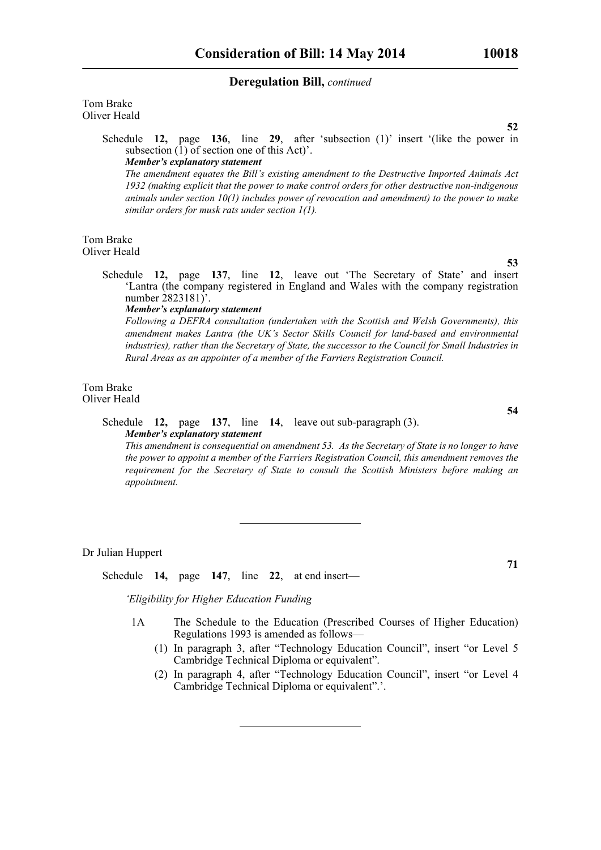Tom Brake Oliver Heald

> Schedule **12,** page **136**, line **29**, after 'subsection (1)' insert '(like the power in subsection  $(1)$  of section one of this Act)'. *Member's explanatory statement*

*The amendment equates the Bill's existing amendment to the Destructive Imported Animals Act 1932 (making explicit that the power to make control orders for other destructive non-indigenous animals under section 10(1) includes power of revocation and amendment) to the power to make similar orders for musk rats under section 1(1).*

Tom Brake Oliver Heald

> Schedule **12,** page **137**, line **12**, leave out 'The Secretary of State' and insert 'Lantra (the company registered in England and Wales with the company registration number 2823181)'.

#### *Member's explanatory statement*

*Following a DEFRA consultation (undertaken with the Scottish and Welsh Governments), this amendment makes Lantra (the UK's Sector Skills Council for land-based and environmental industries), rather than the Secretary of State, the successor to the Council for Small Industries in Rural Areas as an appointer of a member of the Farriers Registration Council.* 

#### Tom Brake Oliver Heald

## Schedule **12,** page **137**, line **14**, leave out sub-paragraph (3). *Member's explanatory statement*

*This amendment is consequential on amendment 53. As the Secretary of State is no longer to have the power to appoint a member of the Farriers Registration Council, this amendment removes the requirement for the Secretary of State to consult the Scottish Ministers before making an appointment.* 

Dr Julian Huppert

Schedule **14,** page **147**, line **22**, at end insert—

*'Eligibility for Higher Education Funding*

- 1A The Schedule to the Education (Prescribed Courses of Higher Education) Regulations 1993 is amended as follows—
	- (1) In paragraph 3, after "Technology Education Council", insert "or Level 5 Cambridge Technical Diploma or equivalent".
	- (2) In paragraph 4, after "Technology Education Council", insert "or Level 4 Cambridge Technical Diploma or equivalent".'.

**52**

**53**

**54**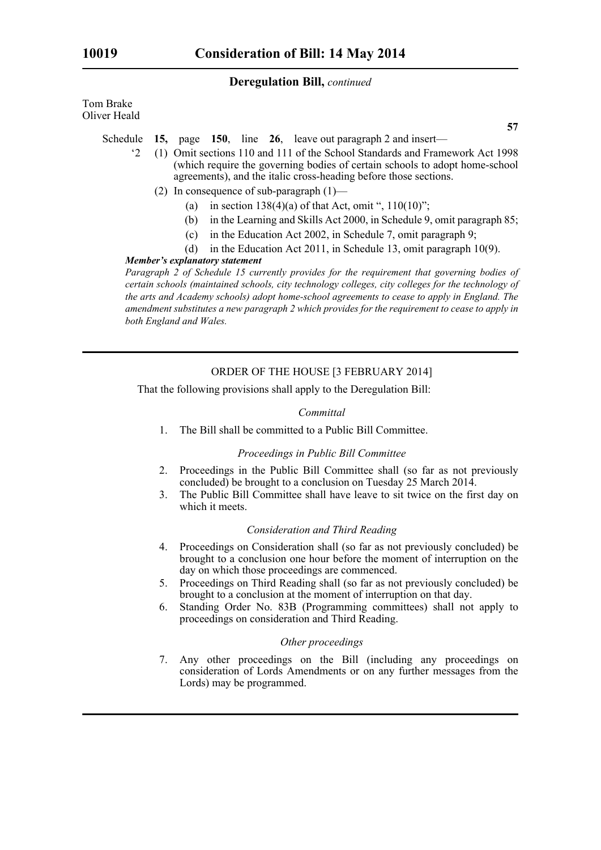Tom Brake Oliver Heald

- Schedule **15,** page **150**, line **26**, leave out paragraph 2 and insert—
	- '2 (1) Omit sections 110 and 111 of the School Standards and Framework Act 1998 (which require the governing bodies of certain schools to adopt home-school agreements), and the italic cross-heading before those sections.
		- (2) In consequence of sub-paragraph (1)—
			- (a) in section  $138(4)(a)$  of that Act, omit ",  $110(10)$ ";
			- (b) in the Learning and Skills Act 2000, in Schedule 9, omit paragraph 85;
			- (c) in the Education Act 2002, in Schedule 7, omit paragraph 9;
			- (d) in the Education Act 2011, in Schedule 13, omit paragraph 10(9).

## *Member's explanatory statement*

*Paragraph 2 of Schedule 15 currently provides for the requirement that governing bodies of certain schools (maintained schools, city technology colleges, city colleges for the technology of the arts and Academy schools) adopt home-school agreements to cease to apply in England. The amendment substitutes a new paragraph 2 which provides for the requirement to cease to apply in both England and Wales.* 

## ORDER OF THE HOUSE [3 FEBRUARY 2014]

That the following provisions shall apply to the Deregulation Bill:

#### *Committal*

1. The Bill shall be committed to a Public Bill Committee.

#### *Proceedings in Public Bill Committee*

- 2. Proceedings in the Public Bill Committee shall (so far as not previously concluded) be brought to a conclusion on Tuesday 25 March 2014.
- 3. The Public Bill Committee shall have leave to sit twice on the first day on which it meets.

#### *Consideration and Third Reading*

- 4. Proceedings on Consideration shall (so far as not previously concluded) be brought to a conclusion one hour before the moment of interruption on the day on which those proceedings are commenced.
- 5. Proceedings on Third Reading shall (so far as not previously concluded) be brought to a conclusion at the moment of interruption on that day.
- 6. Standing Order No. 83B (Programming committees) shall not apply to proceedings on consideration and Third Reading.

#### *Other proceedings*

7. Any other proceedings on the Bill (including any proceedings on consideration of Lords Amendments or on any further messages from the Lords) may be programmed.